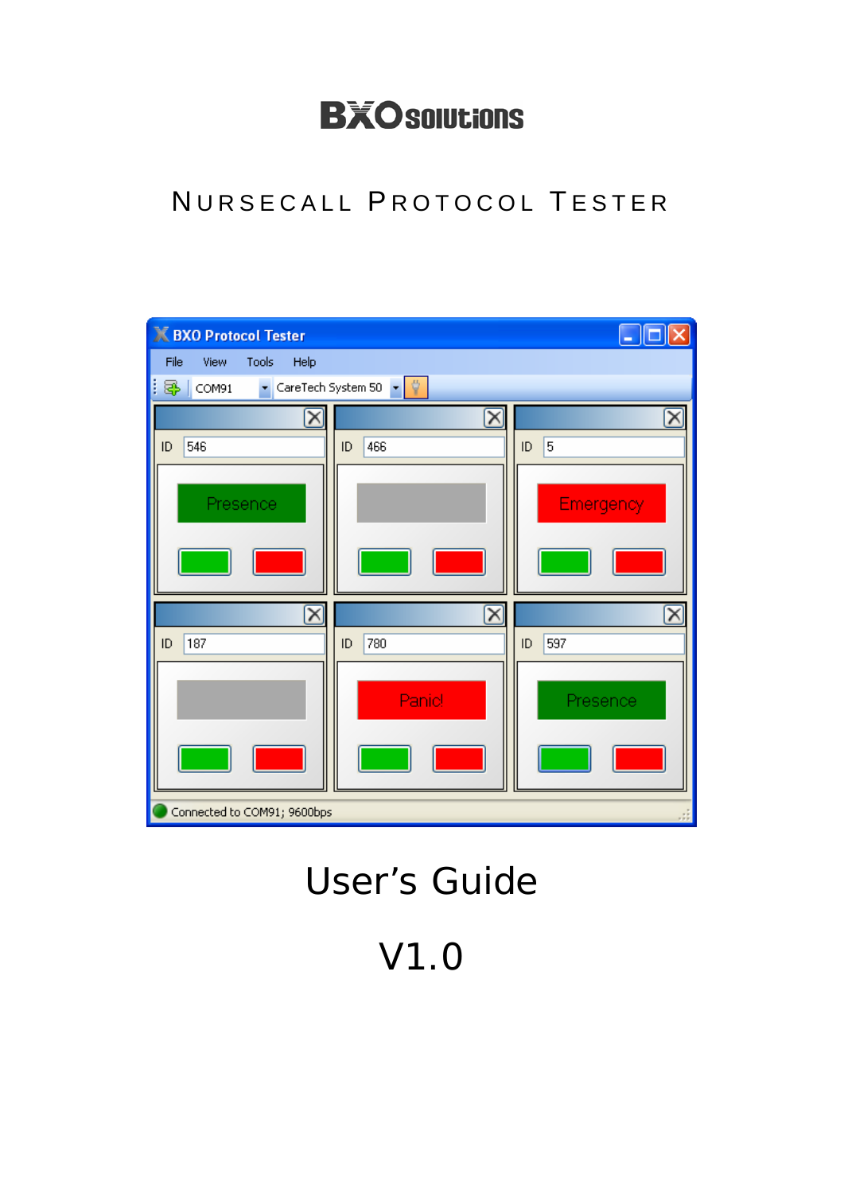# **BXO solutions**

### NURSECALL PROTOCOL TESTER

| <b>K BXO Protocol Tester</b>         |                                                       | ٠                     |
|--------------------------------------|-------------------------------------------------------|-----------------------|
| File<br>Tools<br>View<br>Help        |                                                       |                       |
| ł<br>5<br>COM91                      | ▼ CareTech System 50 ▼ ♥                              |                       |
|                                      | $\overline{\mathsf{x}}$                               |                       |
| 546<br>ID                            | 466<br>ID                                             | 5<br>ID               |
| Presence                             |                                                       | <b>Emergency</b>      |
| $\overline{\mathsf{x}}$<br>187<br>ID | $\mathsf{\overline{X}}$<br>780<br>ID<br><b>Panic!</b> | ID<br>597<br>Presence |
| Connected to COM91; 9600bps          |                                                       |                       |

# User's Guide

V1.0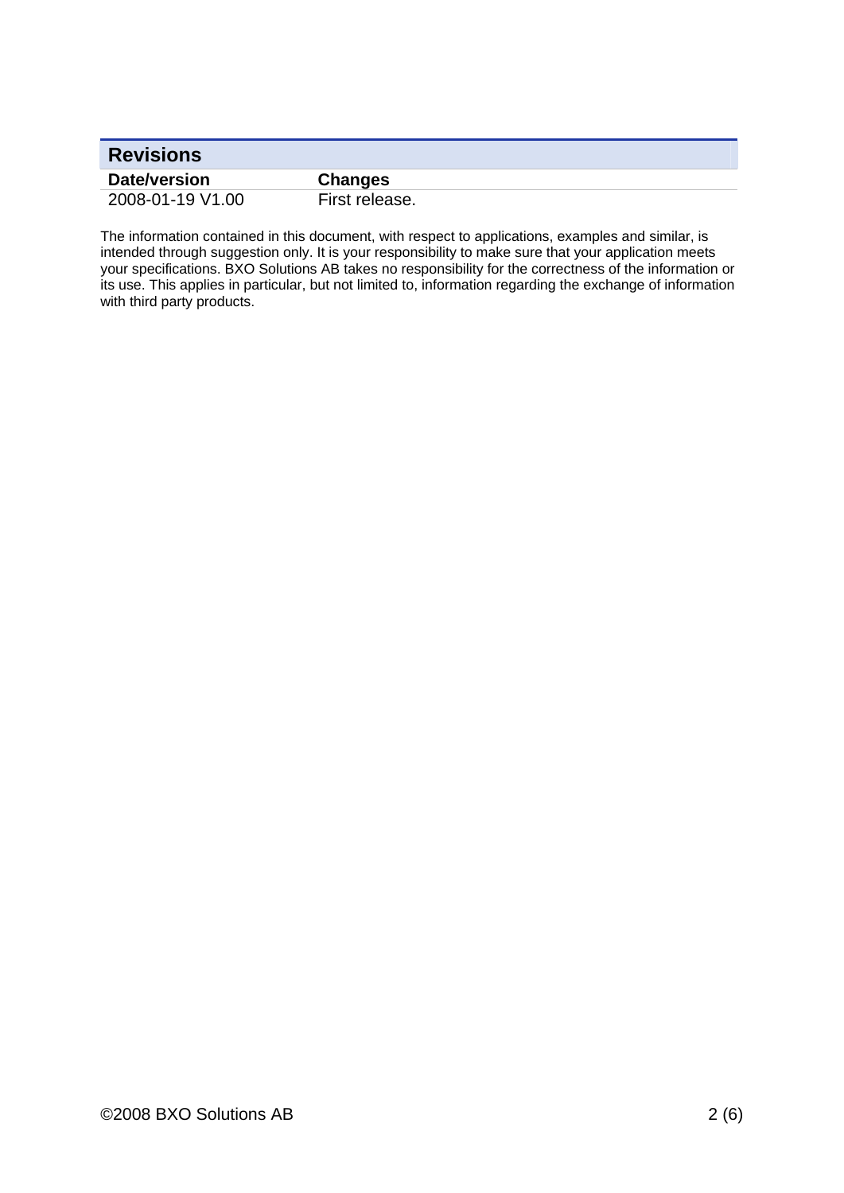| <b>Revisions</b> |                |
|------------------|----------------|
| Date/version     | <b>Changes</b> |
| 2008-01-19 V1.00 | First release. |

The information contained in this document, with respect to applications, examples and similar, is intended through suggestion only. It is your responsibility to make sure that your application meets your specifications. BXO Solutions AB takes no responsibility for the correctness of the information or its use. This applies in particular, but not limited to, information regarding the exchange of information with third party products.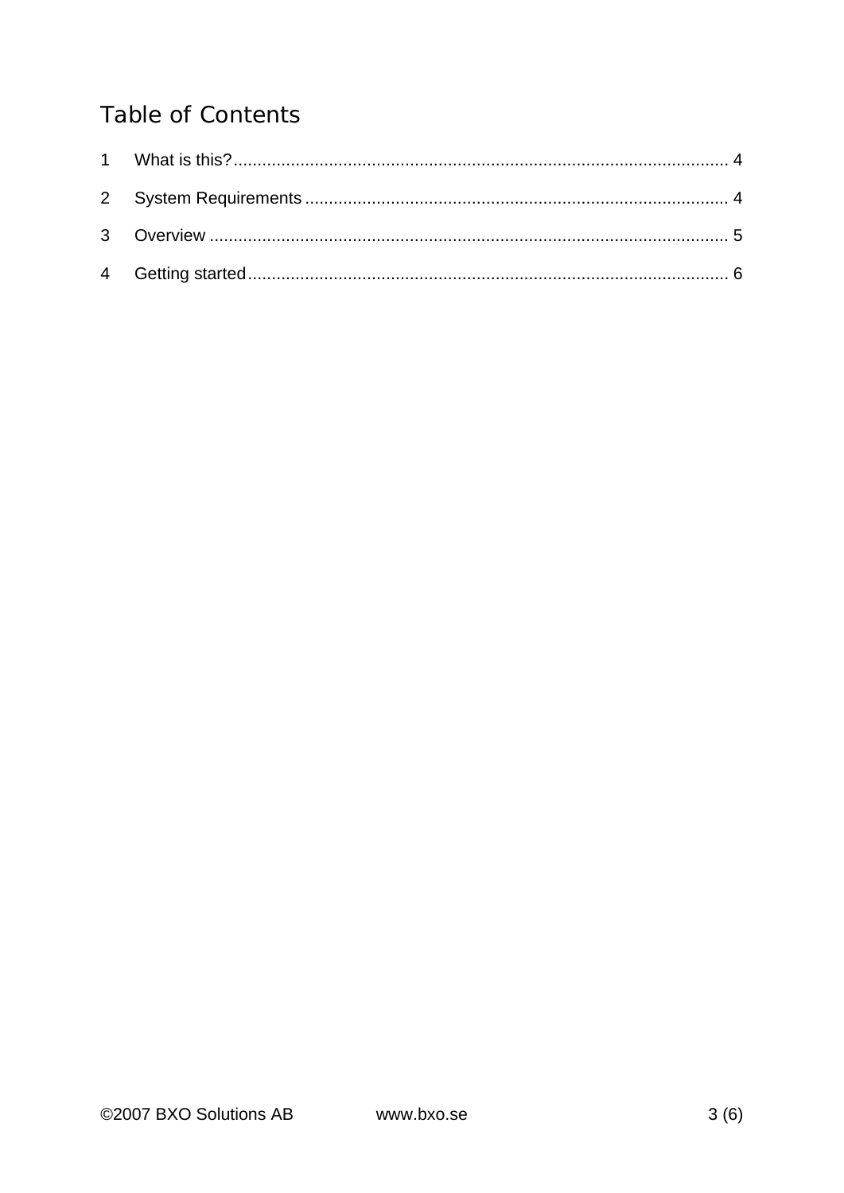#### **Table of Contents**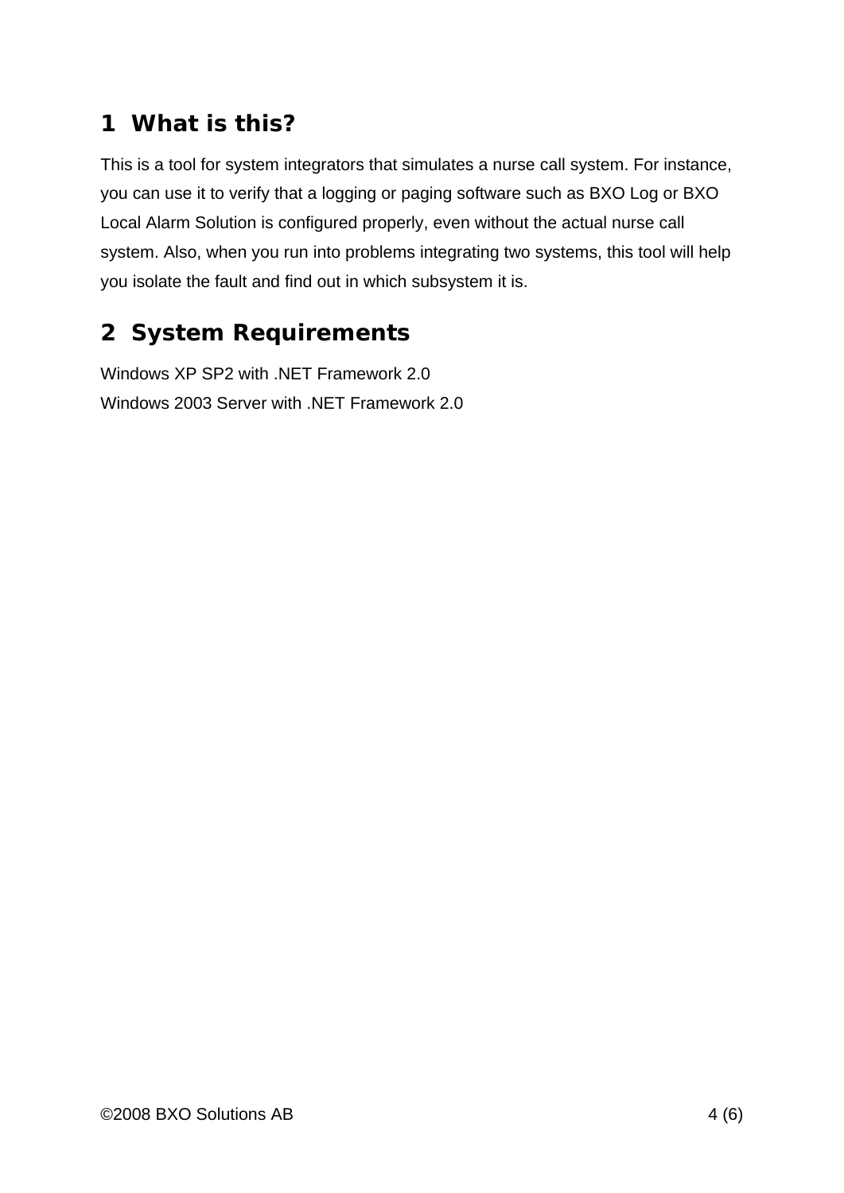### **1 What is this?**

This is a tool for system integrators that simulates a nurse call system. For instance, you can use it to verify that a logging or paging software such as BXO Log or BXO Local Alarm Solution is configured properly, even without the actual nurse call system. Also, when you run into problems integrating two systems, this tool will help you isolate the fault and find out in which subsystem it is.

#### **2 System Requirements**

Windows XP SP2 with .NET Framework 2.0 Windows 2003 Server with .NET Framework 2.0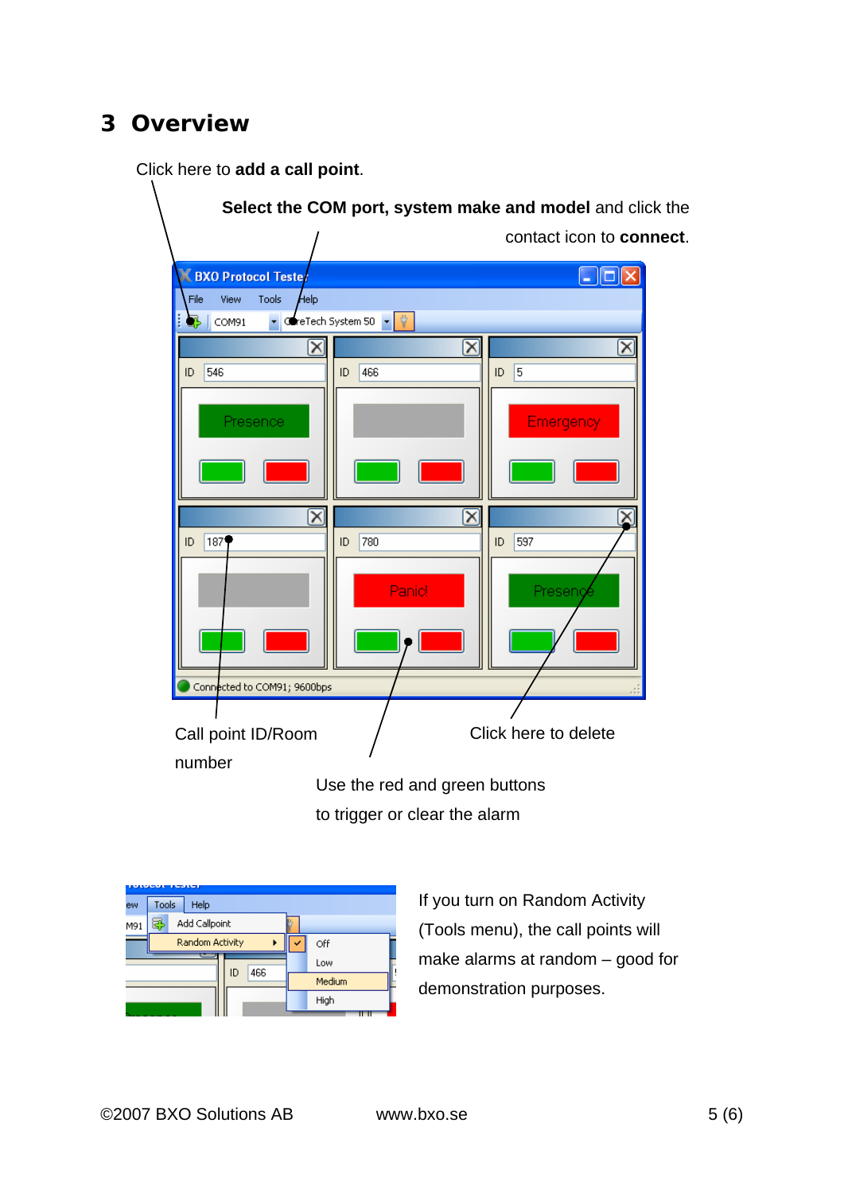#### **3 Overview**

Click here to **add a call point**.

|                                           |                                              | Select the COM port, system make and model and click the |
|-------------------------------------------|----------------------------------------------|----------------------------------------------------------|
|                                           |                                              | contact icon to connect.                                 |
| <b>BXO Protocol Tester</b>                |                                              | $-$ 10                                                   |
| <b>Help</b><br>View<br>Tools<br>File<br>B | $\bullet$ CreTech System 50 $\bullet$ $\phi$ |                                                          |
| COM91<br>$\mathsf{x}$                     | $\mathbf{\overline{X}}$                      | $\mathsf{\overline{x}}$                                  |
| 546<br>ID                                 | 466<br>ID                                    | 5<br>ID                                                  |
|                                           |                                              |                                                          |
| Presence                                  |                                              | <b>Emergency</b>                                         |
|                                           |                                              |                                                          |
|                                           |                                              |                                                          |
| $\mathbf{\overline{X}}$                   | $\vert x \vert$                              |                                                          |
| 187<br>ID.                                | 780<br>ID                                    | 597<br>ID                                                |
|                                           | Panie!                                       | Preseng                                                  |
|                                           |                                              |                                                          |
|                                           |                                              |                                                          |
| Connected to COM91; 9600bps               |                                              |                                                          |
|                                           |                                              |                                                          |
| Call point ID/Room                        |                                              | Click here to delete                                     |
| number                                    |                                              |                                                          |
|                                           | Use the red and green buttons                |                                                          |

to trigger or clear the alarm

|     |       | -31.5           |    |     |  |        |
|-----|-------|-----------------|----|-----|--|--------|
| ew  | Tools | Help            |    |     |  |        |
| M91 | 29    | Add Callpoint   |    |     |  |        |
|     |       | Random Activity |    |     |  | Off    |
|     |       |                 | ID | 466 |  | Low    |
|     |       |                 |    |     |  | Medium |
|     |       |                 |    |     |  | High   |
|     |       |                 |    |     |  |        |

If you turn on Random Activity (Tools menu), the call points will make alarms at random – good for demonstration purposes.